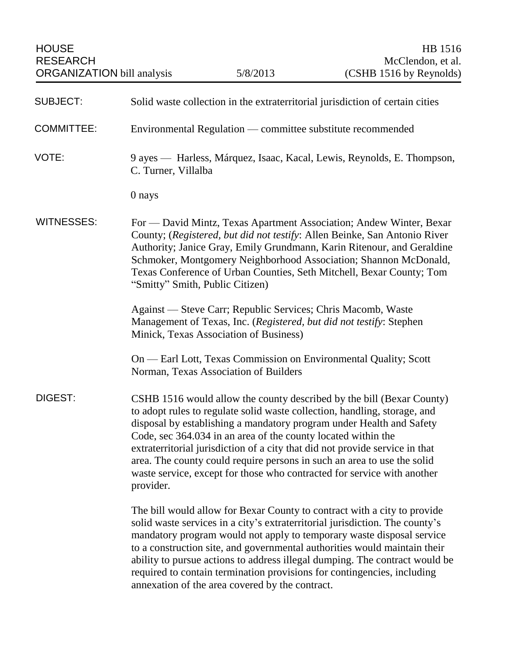| <b>SUBJECT:</b>   | Solid waste collection in the extraterritorial jurisdiction of certain cities                                                                                                                                                                                                                                                                                                                                                                                                                                                                  |
|-------------------|------------------------------------------------------------------------------------------------------------------------------------------------------------------------------------------------------------------------------------------------------------------------------------------------------------------------------------------------------------------------------------------------------------------------------------------------------------------------------------------------------------------------------------------------|
| <b>COMMITTEE:</b> | Environmental Regulation — committee substitute recommended                                                                                                                                                                                                                                                                                                                                                                                                                                                                                    |
| VOTE:             | 9 ayes — Harless, Márquez, Isaac, Kacal, Lewis, Reynolds, E. Thompson,<br>C. Turner, Villalba                                                                                                                                                                                                                                                                                                                                                                                                                                                  |
|                   | 0 nays                                                                                                                                                                                                                                                                                                                                                                                                                                                                                                                                         |
| <b>WITNESSES:</b> | For — David Mintz, Texas Apartment Association; Andew Winter, Bexar<br>County; (Registered, but did not testify: Allen Beinke, San Antonio River<br>Authority; Janice Gray, Emily Grundmann, Karin Ritenour, and Geraldine<br>Schmoker, Montgomery Neighborhood Association; Shannon McDonald,<br>Texas Conference of Urban Counties, Seth Mitchell, Bexar County; Tom<br>"Smitty" Smith, Public Citizen)                                                                                                                                      |
|                   | Against — Steve Carr; Republic Services; Chris Macomb, Waste<br>Management of Texas, Inc. (Registered, but did not testify: Stephen<br>Minick, Texas Association of Business)                                                                                                                                                                                                                                                                                                                                                                  |
|                   | On — Earl Lott, Texas Commission on Environmental Quality; Scott<br>Norman, Texas Association of Builders                                                                                                                                                                                                                                                                                                                                                                                                                                      |
| DIGEST:           | CSHB 1516 would allow the county described by the bill (Bexar County)<br>to adopt rules to regulate solid waste collection, handling, storage, and<br>disposal by establishing a mandatory program under Health and Safety<br>Code, sec 364.034 in an area of the county located within the<br>extraterritorial jurisdiction of a city that did not provide service in that<br>area. The county could require persons in such an area to use the solid<br>waste service, except for those who contracted for service with another<br>provider. |
|                   | The bill would allow for Bexar County to contract with a city to provide<br>solid waste services in a city's extraterritorial jurisdiction. The county's<br>mandatory program would not apply to temporary waste disposal service<br>to a construction site, and governmental authorities would maintain their<br>ability to pursue actions to address illegal dumping. The contract would be<br>required to contain termination provisions for contingencies, including<br>annexation of the area covered by the contract.                    |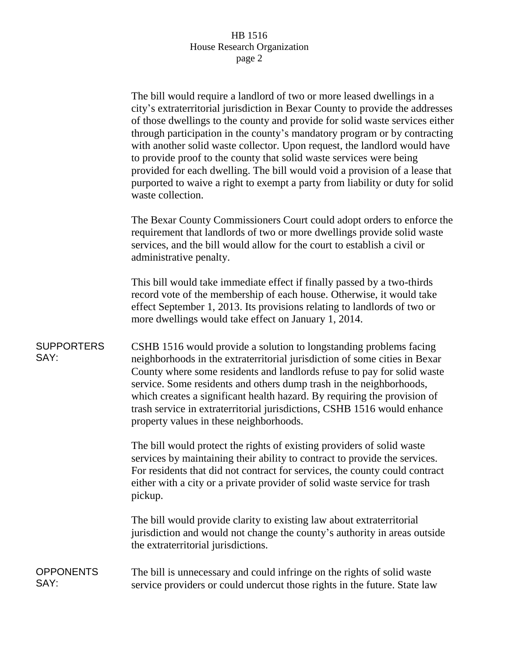## HB 1516 House Research Organization page 2

The bill would require a landlord of two or more leased dwellings in a city's extraterritorial jurisdiction in Bexar County to provide the addresses of those dwellings to the county and provide for solid waste services either through participation in the county's mandatory program or by contracting with another solid waste collector. Upon request, the landlord would have to provide proof to the county that solid waste services were being provided for each dwelling. The bill would void a provision of a lease that purported to waive a right to exempt a party from liability or duty for solid waste collection.

The Bexar County Commissioners Court could adopt orders to enforce the requirement that landlords of two or more dwellings provide solid waste services, and the bill would allow for the court to establish a civil or administrative penalty.

This bill would take immediate effect if finally passed by a two-thirds record vote of the membership of each house. Otherwise, it would take effect September 1, 2013. Its provisions relating to landlords of two or more dwellings would take effect on January 1, 2014.

**SUPPORTERS** SAY: CSHB 1516 would provide a solution to longstanding problems facing neighborhoods in the extraterritorial jurisdiction of some cities in Bexar County where some residents and landlords refuse to pay for solid waste service. Some residents and others dump trash in the neighborhoods, which creates a significant health hazard. By requiring the provision of trash service in extraterritorial jurisdictions, CSHB 1516 would enhance property values in these neighborhoods.

> The bill would protect the rights of existing providers of solid waste services by maintaining their ability to contract to provide the services. For residents that did not contract for services, the county could contract either with a city or a private provider of solid waste service for trash pickup.

> The bill would provide clarity to existing law about extraterritorial jurisdiction and would not change the county's authority in areas outside the extraterritorial jurisdictions.

**OPPONENTS** SAY: The bill is unnecessary and could infringe on the rights of solid waste service providers or could undercut those rights in the future. State law